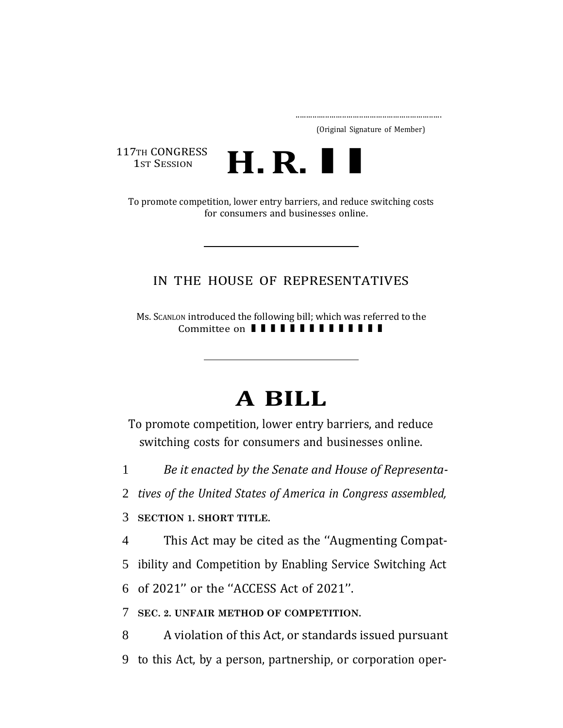..................................................................... (Original Signature of Member)

117TH CONGRESS 1<sub>ST</sub> SESSION



To promote competition, lower entry barriers, and reduce switching costs for consumers and businesses online.

## IN THE HOUSE OF REPRESENTATIVES

Ms. SCANLON introduced the following bill; which was referred to the ON introduced the following bill; which was refer<br>Committee on  $\blacksquare$   $\blacksquare$   $\blacksquare$   $\blacksquare$   $\blacksquare$   $\blacksquare$   $\blacksquare$   $\blacksquare$   $\blacksquare$   $\blacksquare$ 

## **A BILL**

To promote competition, lower entry barriers, and reduce switching costs for consumers and businesses online.

1 *Be it enacted by the Senate and House of Representa-*

2 *tives of the United States of America in Congress assembled,*

3 **SECTION 1. SHORT TITLE.**

4 This Act may be cited as the ''Augmenting Compat-

5 ibility and Competition by Enabling Service Switching Act

6 of 2021'' or the ''ACCESS Act of 2021''.

7 **SEC. 2. UNFAIR METHOD OF COMPETITION.**

8 A violation of this Act, or standards issued pursuant 9 to this Act, by a person, partnership, or corporation oper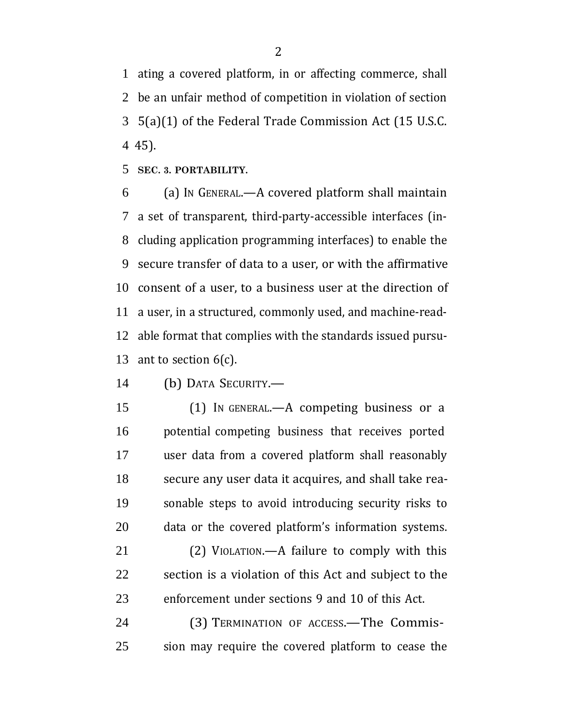ating a covered platform, in or affecting commerce, shall be an unfair method of competition in violation of section 5(a)(1) of the Federal Trade Commission Act (15 U.S.C. 45).

**SEC. 3. PORTABILITY.**

 (a) IN GENERAL.—A covered platform shall maintain a set of transparent, third-party-accessible interfaces (in- cluding application programming interfaces) to enable the secure transfer of data to a user, or with the affirmative consent of a user, to a business user at the direction of a user, in a structured, commonly used, and machine-read- able format that complies with the standards issued pursu-13 ant to section  $6(c)$ .

(b) DATA SECURITY.—

 (1) IN GENERAL.—A competing business or a potential competing business that receives ported user data from a covered platform shall reasonably secure any user data it acquires, and shall take rea- sonable steps to avoid introducing security risks to data or the covered platform's information systems.

 (2) VIOLATION.—A failure to comply with this section is a violation of this Act and subject to the enforcement under sections 9 and 10 of this Act.

 (3) TERMINATION OF ACCESS.—The Commis-sion may require the covered platform to cease the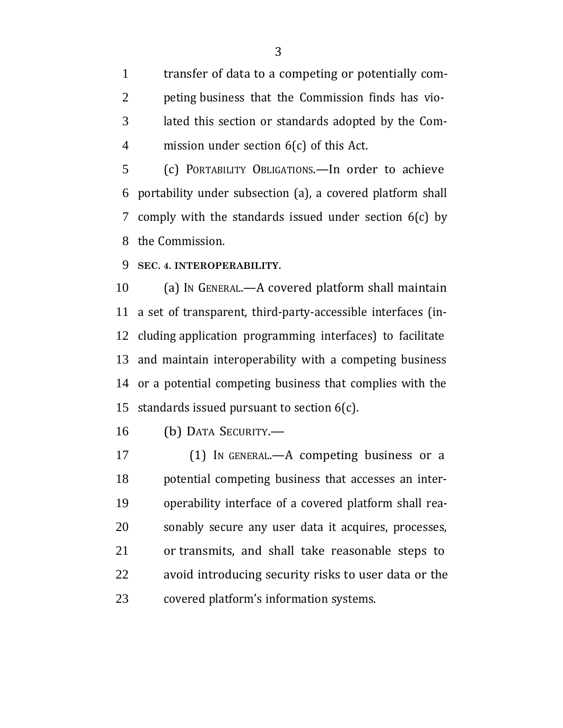transfer of data to a competing or potentially com- peting business that the Commission finds has vio- lated this section or standards adopted by the Com-mission under section 6(c) of this Act.

 (c) PORTABILITY OBLIGATIONS.—In order to achieve portability under subsection (a), a covered platform shall comply with the standards issued under section 6(c) by the Commission.

**SEC. 4. INTEROPERABILITY.**

 (a) IN GENERAL.—A covered platform shall maintain a set of transparent, third-party-accessible interfaces (in- cluding application programming interfaces) to facilitate and maintain interoperability with a competing business or a potential competing business that complies with the standards issued pursuant to section 6(c).

(b) DATA SECURITY.—

 (1) IN GENERAL.—A competing business or a potential competing business that accesses an inter- operability interface of a covered platform shall rea- sonably secure any user data it acquires, processes, or transmits, and shall take reasonable steps to avoid introducing security risks to user data or the covered platform's information systems.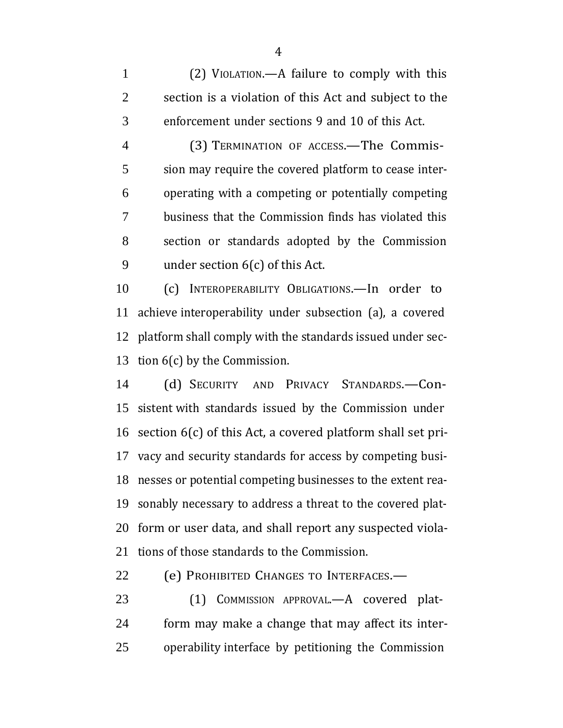(2) VIOLATION.—A failure to comply with this section is a violation of this Act and subject to the enforcement under sections 9 and 10 of this Act.

 (3) TERMINATION OF ACCESS.—The Commis- sion may require the covered platform to cease inter- operating with a competing or potentially competing business that the Commission finds has violated this section or standards adopted by the Commission under section 6(c) of this Act.

 (c) INTEROPERABILITY OBLIGATIONS.—In order to achieve interoperability under subsection (a), a covered platform shall comply with the standards issued under sec-tion 6(c) by the Commission.

 (d) SECURITY AND PRIVACY STANDARDS.—Con- sistent with standards issued by the Commission under section 6(c) of this Act, a covered platform shall set pri- vacy and security standards for access by competing busi- nesses or potential competing businesses to the extent rea- sonably necessary to address a threat to the covered plat- form or user data, and shall report any suspected viola-tions of those standards to the Commission.

(e) PROHIBITED CHANGES TO INTERFACES.—

23 (1) COMMISSION APPROVAL.—A covered plat- form may make a change that may affect its inter-operability interface by petitioning the Commission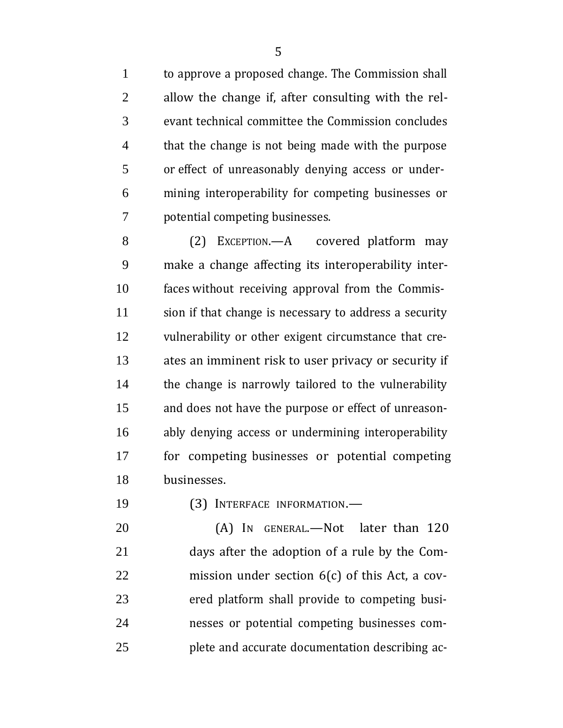to approve a proposed change. The Commission shall allow the change if, after consulting with the rel- evant technical committee the Commission concludes that the change is not being made with the purpose or effect of unreasonably denying access or under- mining interoperability for competing businesses or potential competing businesses.

 (2) EXCEPTION.—A covered platform may make a change affecting its interoperability inter- faces without receiving approval from the Commis- sion if that change is necessary to address a security vulnerability or other exigent circumstance that cre- ates an imminent risk to user privacy or security if the change is narrowly tailored to the vulnerability and does not have the purpose or effect of unreason- ably denying access or undermining interoperability for competing businesses or potential competing businesses.

(3) INTERFACE INFORMATION.—

20 (A) In GENERAL.—Not later than 120 days after the adoption of a rule by the Com- mission under section 6(c) of this Act, a cov- ered platform shall provide to competing busi- nesses or potential competing businesses com-plete and accurate documentation describing ac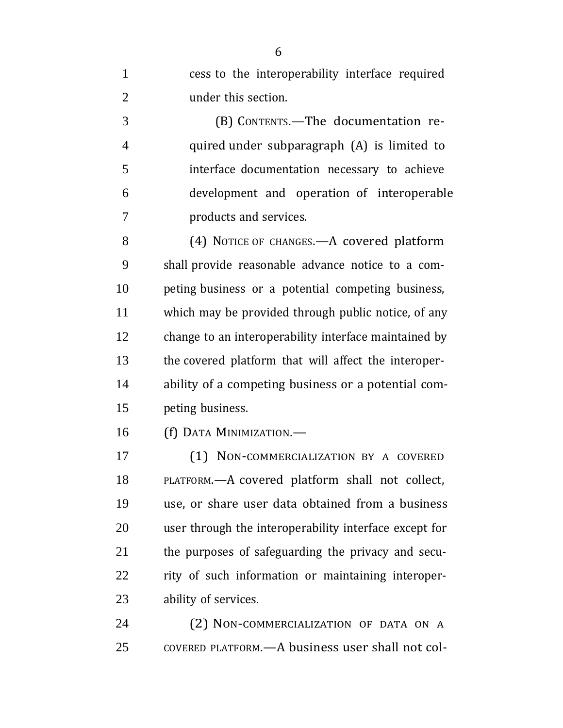cess to the interoperability interface required under this section.

 (B) CONTENTS.—The documentation re- quired under subparagraph (A) is limited to interface documentation necessary to achieve development and operation of interoperable products and services.

8 (4) NOTICE OF CHANGES. - A covered platform shall provide reasonable advance notice to a com- peting business or a potential competing business, which may be provided through public notice, of any change to an interoperability interface maintained by the covered platform that will affect the interoper- ability of a competing business or a potential com-peting business.

(f) DATA MINIMIZATION.—

 (1) NON-COMMERCIALIZATION BY A COVERED PLATFORM.—A covered platform shall not collect, use, or share user data obtained from a business user through the interoperability interface except for the purposes of safeguarding the privacy and secu- rity of such information or maintaining interoper-ability of services.

 (2) NON-COMMERCIALIZATION OF DATA ON A COVERED PLATFORM.—A business user shall not col-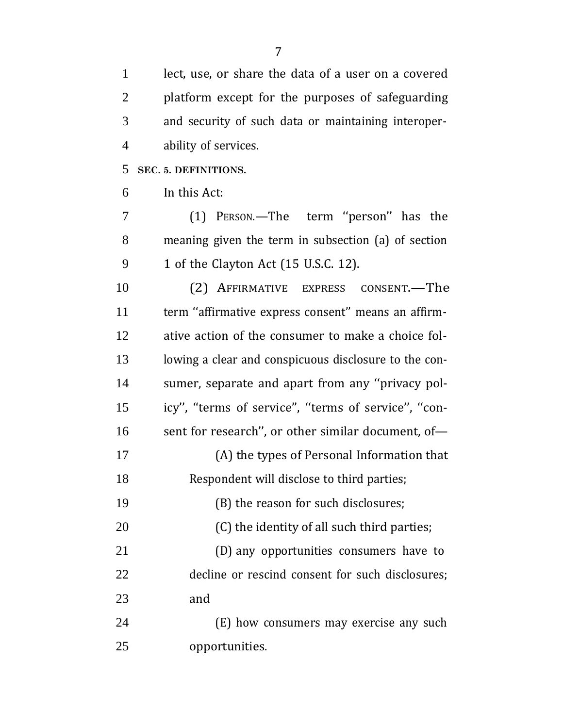lect, use, or share the data of a user on a covered platform except for the purposes of safeguarding and security of such data or maintaining interoper- ability of services. **SEC. 5. DEFINITIONS.** In this Act:

7 (1) PERSON.—The term "person" has the meaning given the term in subsection (a) of section 1 of the Clayton Act (15 U.S.C. 12).

 (2) AFFIRMATIVE EXPRESS CONSENT.—The term ''affirmative express consent'' means an affirm- ative action of the consumer to make a choice fol- lowing a clear and conspicuous disclosure to the con- sumer, separate and apart from any ''privacy pol- icy'', ''terms of service'', ''terms of service'', ''con-16 sent for research", or other similar document, of- (A) the types of Personal Information that Respondent will disclose to third parties;

(B) the reason for such disclosures;

20 (C) the identity of all such third parties;

 (D) any opportunities consumers have to decline or rescind consent for such disclosures; and

 (E) how consumers may exercise any such opportunities.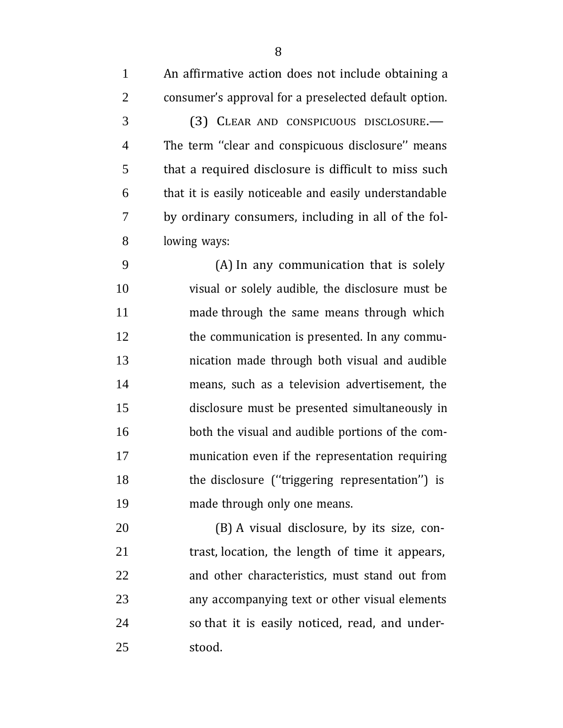consumer's approval for a preselected default option.

 (3) CLEAR AND CONSPICUOUS DISCLOSURE.— The term ''clear and conspicuous disclosure'' means that a required disclosure is difficult to miss such that it is easily noticeable and easily understandable by ordinary consumers, including in all of the fol-lowing ways:

 (A) In any communication that is solely visual or solely audible, the disclosure must be made through the same means through which 12 the communication is presented. In any commu- nication made through both visual and audible means, such as a television advertisement, the disclosure must be presented simultaneously in both the visual and audible portions of the com- munication even if the representation requiring 18 the disclosure ("triggering representation") is made through only one means.

 (B) A visual disclosure, by its size, con- trast, location, the length of time it appears, and other characteristics, must stand out from any accompanying text or other visual elements so that it is easily noticed, read, and under-stood.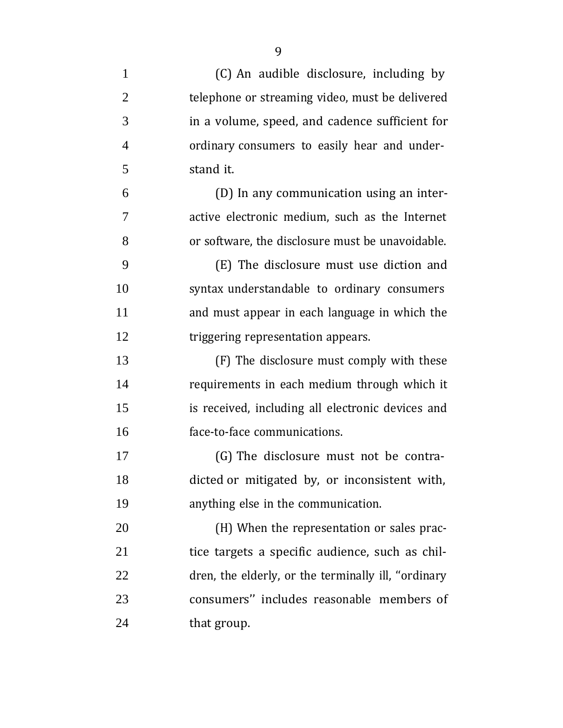| $\mathbf{1}$   | (C) An audible disclosure, including by             |
|----------------|-----------------------------------------------------|
| $\overline{2}$ | telephone or streaming video, must be delivered     |
| 3              | in a volume, speed, and cadence sufficient for      |
| $\overline{4}$ | ordinary consumers to easily hear and under-        |
| 5              | stand it.                                           |
| 6              | (D) In any communication using an inter-            |
| 7              | active electronic medium, such as the Internet      |
| 8              | or software, the disclosure must be unavoidable.    |
| 9              | (E) The disclosure must use diction and             |
| 10             | syntax understandable to ordinary consumers         |
| 11             | and must appear in each language in which the       |
| 12             | triggering representation appears.                  |
| 13             | (F) The disclosure must comply with these           |
| 14             | requirements in each medium through which it        |
| 15             | is received, including all electronic devices and   |
| 16             | face-to-face communications.                        |
| 17             | (G) The disclosure must not be contra-              |
| 18             | dicted or mitigated by, or inconsistent with,       |
| 19             | anything else in the communication.                 |
| 20             | (H) When the representation or sales prac-          |
| 21             | tice targets a specific audience, such as chil-     |
| 22             | dren, the elderly, or the terminally ill, "ordinary |
| 23             | consumers" includes reasonable members of           |
| 24             | that group.                                         |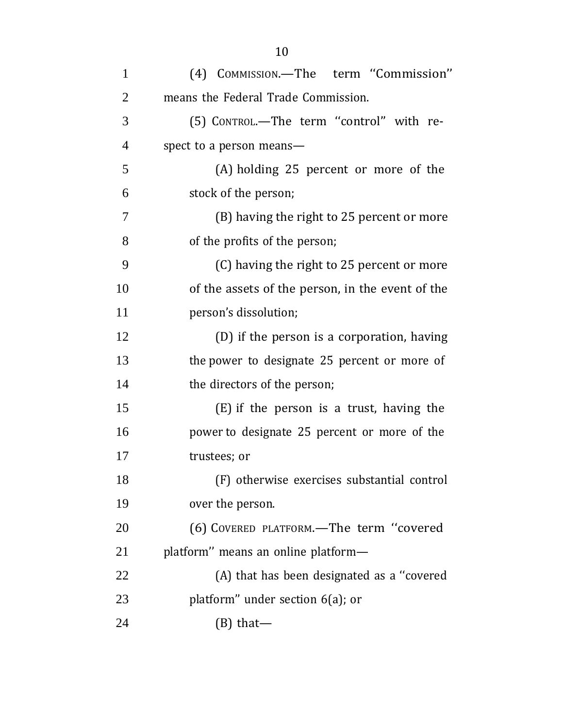| $\mathbf{1}$   | (4) COMMISSION.-The term "Commission"            |
|----------------|--------------------------------------------------|
| $\overline{2}$ | means the Federal Trade Commission.              |
| 3              | (5) CONTROL.-The term "control" with re-         |
| $\overline{4}$ | spect to a person means-                         |
| 5              | (A) holding 25 percent or more of the            |
| 6              | stock of the person;                             |
| 7              | (B) having the right to 25 percent or more       |
| 8              | of the profits of the person;                    |
| 9              | (C) having the right to 25 percent or more       |
| 10             | of the assets of the person, in the event of the |
| 11             | person's dissolution;                            |
| 12             | (D) if the person is a corporation, having       |
| 13             | the power to designate 25 percent or more of     |
| 14             | the directors of the person;                     |
| 15             | (E) if the person is a trust, having the         |
| 16             | power to designate 25 percent or more of the     |
| 17             | trustees; or                                     |
| 18             | (F) otherwise exercises substantial control      |
| 19             | over the person.                                 |
| 20             | (6) COVERED PLATFORM.-The term "covered          |
| 21             | platform" means an online platform-              |
| 22             | (A) that has been designated as a "covered       |
| 23             | platform" under section $6(a)$ ; or              |
| 24             | $(B)$ that—                                      |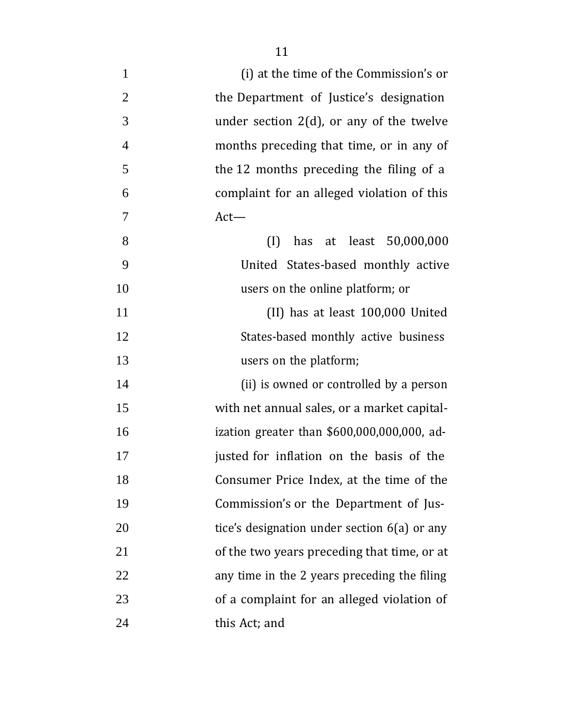| $\mathbf{1}$   | (i) at the time of the Commission's or         |
|----------------|------------------------------------------------|
| $\overline{2}$ | the Department of Justice's designation        |
| 3              | under section $2(d)$ , or any of the twelve    |
| $\overline{4}$ | months preceding that time, or in any of       |
| 5              | the 12 months preceding the filing of a        |
| 6              | complaint for an alleged violation of this     |
| 7              | $Act-$                                         |
| 8              | has at least 50,000,000<br>(I)                 |
| 9              | United States-based monthly active             |
| 10             | users on the online platform; or               |
| 11             | (II) has at least 100,000 United               |
| 12             | States-based monthly active business           |
| 13             | users on the platform;                         |
| 14             | (ii) is owned or controlled by a person        |
| 15             | with net annual sales, or a market capital-    |
| 16             | ization greater than $$600,000,000,000$ , ad-  |
| 17             | justed for inflation on the basis of the       |
| 18             | Consumer Price Index, at the time of the       |
| 19             | Commission's or the Department of Jus-         |
| 20             | tice's designation under section $6(a)$ or any |
| 21             | of the two years preceding that time, or at    |
| 22             | any time in the 2 years preceding the filing   |
| 23             | of a complaint for an alleged violation of     |
| 24             | this Act; and                                  |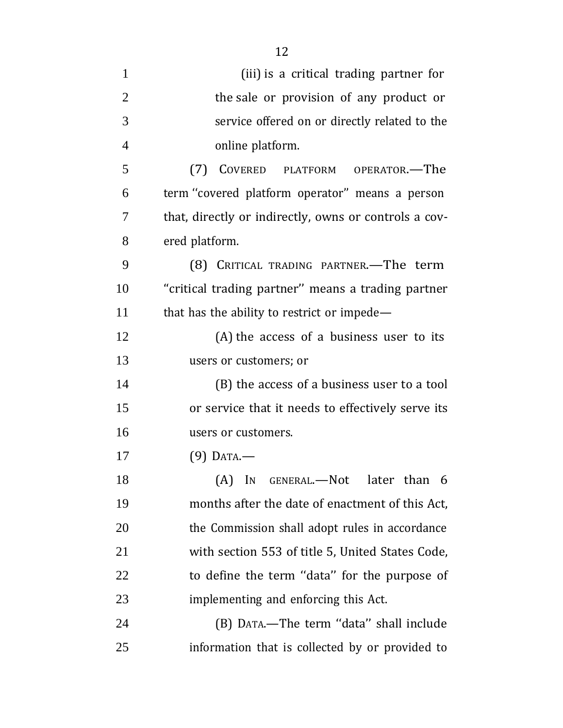| $\mathbf{1}$   | (iii) is a critical trading partner for               |
|----------------|-------------------------------------------------------|
| $\overline{2}$ | the sale or provision of any product or               |
| 3              | service offered on or directly related to the         |
| $\overline{4}$ | online platform.                                      |
| 5              | (7) COVERED PLATFORM OPERATOR.—The                    |
| 6              | term "covered platform operator" means a person       |
| 7              | that, directly or indirectly, owns or controls a cov- |
| 8              | ered platform.                                        |
| 9              | (8) CRITICAL TRADING PARTNER.-The term                |
| 10             | "critical trading partner" means a trading partner    |
| 11             | that has the ability to restrict or impede—           |
| 12             | (A) the access of a business user to its              |
| 13             | users or customers; or                                |
| 14             | (B) the access of a business user to a tool           |
| 15             | or service that it needs to effectively serve its     |
| 16             | users or customers.                                   |
| 17             | $(9)$ Data.—                                          |
| 18             | (A) IN GENERAL.—Not<br>later than 6                   |
| 19             | months after the date of enactment of this Act,       |
| 20             | the Commission shall adopt rules in accordance        |
| 21             | with section 553 of title 5, United States Code,      |
| 22             | to define the term "data" for the purpose of          |
| 23             | implementing and enforcing this Act.                  |
| 24             | (B) DATA.—The term "data" shall include               |
| 25             | information that is collected by or provided to       |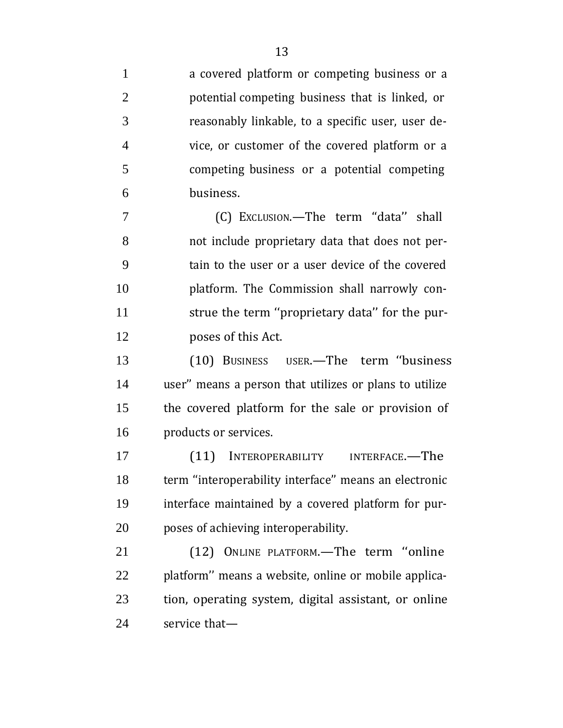a covered platform or competing business or a potential competing business that is linked, or reasonably linkable, to a specific user, user de- vice, or customer of the covered platform or a competing business or a potential competing business.

 (C) EXCLUSION.—The term ''data'' shall not include proprietary data that does not per- tain to the user or a user device of the covered platform. The Commission shall narrowly con- strue the term ''proprietary data'' for the pur-poses of this Act.

 (10) BUSINESS USER.—The term ''business user'' means a person that utilizes or plans to utilize the covered platform for the sale or provision of products or services.

 (11) INTEROPERABILITY INTERFACE.—The term ''interoperability interface'' means an electronic interface maintained by a covered platform for pur-poses of achieving interoperability.

 (12) ONLINE PLATFORM.—The term ''online platform'' means a website, online or mobile applica- tion, operating system, digital assistant, or online service that—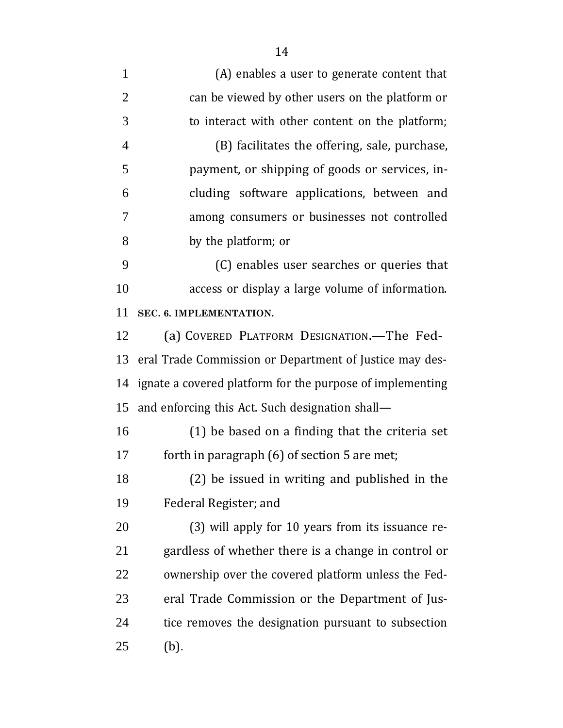(A) enables a user to generate content that can be viewed by other users on the platform or to interact with other content on the platform; (B) facilitates the offering, sale, purchase, payment, or shipping of goods or services, in- cluding software applications, between and among consumers or businesses not controlled by the platform; or (C) enables user searches or queries that access or display a large volume of information. **SEC. 6. IMPLEMENTATION.** (a) COVERED PLATFORM DESIGNATION.—The Fed- eral Trade Commission or Department of Justice may des- ignate a covered platform for the purpose of implementing and enforcing this Act. Such designation shall— (1) be based on a finding that the criteria set forth in paragraph (6) of section 5 are met; (2) be issued in writing and published in the Federal Register; and (3) will apply for 10 years from its issuance re- gardless of whether there is a change in control or ownership over the covered platform unless the Fed- eral Trade Commission or the Department of Jus- tice removes the designation pursuant to subsection (b).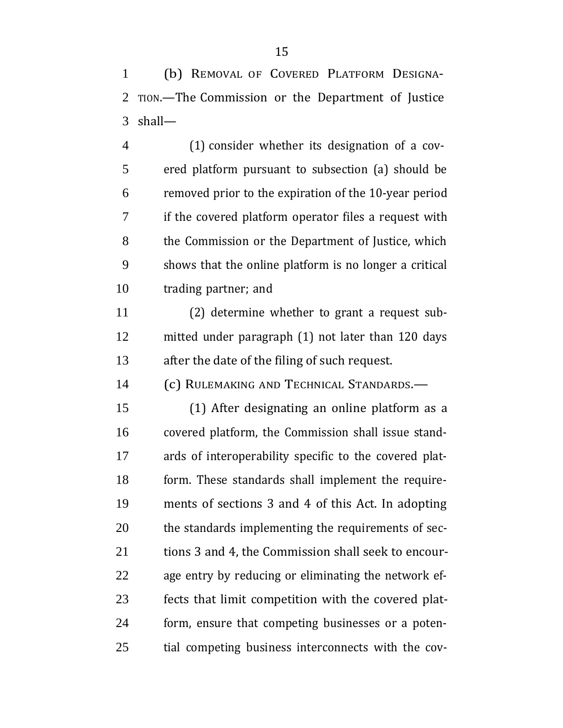(b) REMOVAL OF COVERED PLATFORM DESIGNA- TION.—The Commission or the Department of Justice shall—

 (1) consider whether its designation of a cov- ered platform pursuant to subsection (a) should be removed prior to the expiration of the 10-year period if the covered platform operator files a request with the Commission or the Department of Justice, which shows that the online platform is no longer a critical trading partner; and

 (2) determine whether to grant a request sub- mitted under paragraph (1) not later than 120 days after the date of the filing of such request.

(c) RULEMAKING AND TECHNICAL STANDARDS.—

 (1) After designating an online platform as a covered platform, the Commission shall issue stand- ards of interoperability specific to the covered plat- form. These standards shall implement the require- ments of sections 3 and 4 of this Act. In adopting the standards implementing the requirements of sec-21 tions 3 and 4, the Commission shall seek to encour- age entry by reducing or eliminating the network ef- fects that limit competition with the covered plat- form, ensure that competing businesses or a poten-tial competing business interconnects with the cov-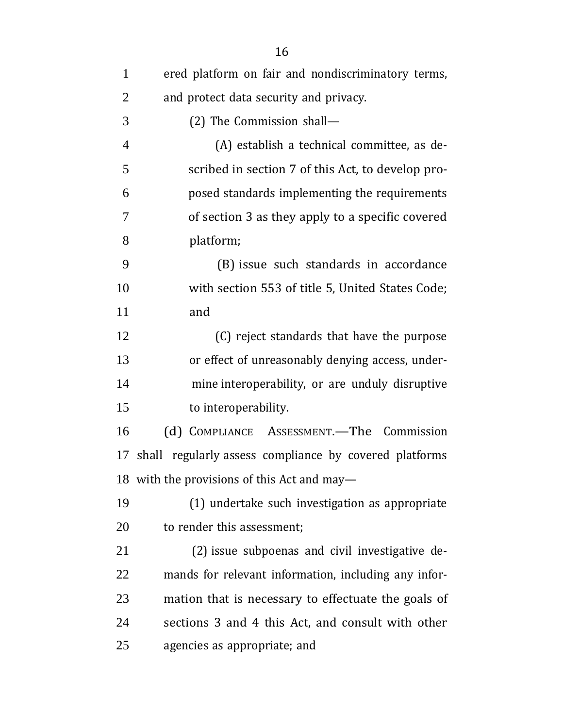| $\mathbf{1}$   | ered platform on fair and nondiscriminatory terms,     |
|----------------|--------------------------------------------------------|
| $\overline{2}$ | and protect data security and privacy.                 |
| 3              | (2) The Commission shall-                              |
| $\overline{4}$ | (A) establish a technical committee, as de-            |
| 5              | scribed in section 7 of this Act, to develop pro-      |
| 6              | posed standards implementing the requirements          |
| 7              | of section 3 as they apply to a specific covered       |
| 8              | platform;                                              |
| 9              | (B) issue such standards in accordance                 |
| 10             | with section 553 of title 5, United States Code;       |
| 11             | and                                                    |
| 12             | (C) reject standards that have the purpose             |
| 13             | or effect of unreasonably denying access, under-       |
| 14             | mine interoperability, or are unduly disruptive        |
| 15             | to interoperability.                                   |
| 16             | (d) COMPLIANCE ASSESSMENT.—The Commission              |
| 17             | shall regularly assess compliance by covered platforms |
|                | 18 with the provisions of this Act and may-            |
| 19             | (1) undertake such investigation as appropriate        |
| 20             | to render this assessment;                             |
| 21             | (2) issue subpoenas and civil investigative de-        |
| 22             | mands for relevant information, including any infor-   |
| 23             | mation that is necessary to effectuate the goals of    |
| 24             | sections 3 and 4 this Act, and consult with other      |
| 25             | agencies as appropriate; and                           |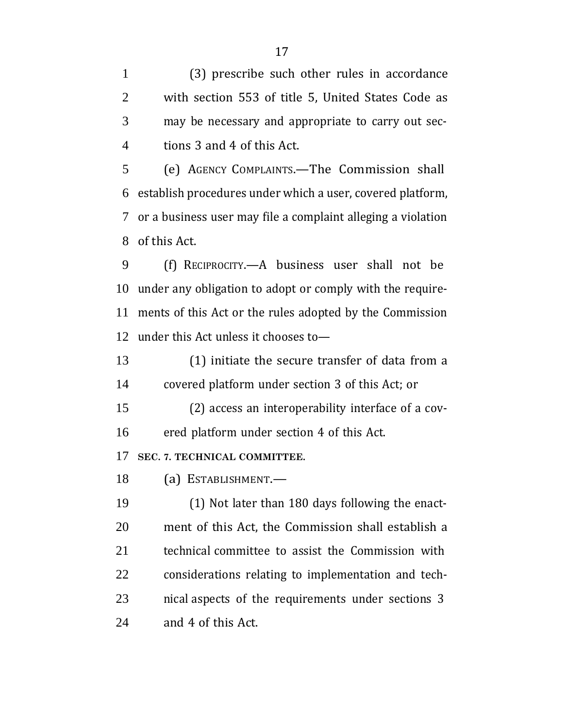(3) prescribe such other rules in accordance with section 553 of title 5, United States Code as may be necessary and appropriate to carry out sec-tions 3 and 4 of this Act.

 (e) AGENCY COMPLAINTS.—The Commission shall establish procedures under which a user, covered platform, or a business user may file a complaint alleging a violation of this Act.

 (f) RECIPROCITY.—A business user shall not be under any obligation to adopt or comply with the require- ments of this Act or the rules adopted by the Commission under this Act unless it chooses to—

 (1) initiate the secure transfer of data from a covered platform under section 3 of this Act; or

 (2) access an interoperability interface of a cov-ered platform under section 4 of this Act.

**SEC. 7. TECHNICAL COMMITTEE.**

(a) ESTABLISHMENT.—

 (1) Not later than 180 days following the enact- ment of this Act, the Commission shall establish a technical committee to assist the Commission with considerations relating to implementation and tech- nical aspects of the requirements under sections 3 and 4 of this Act.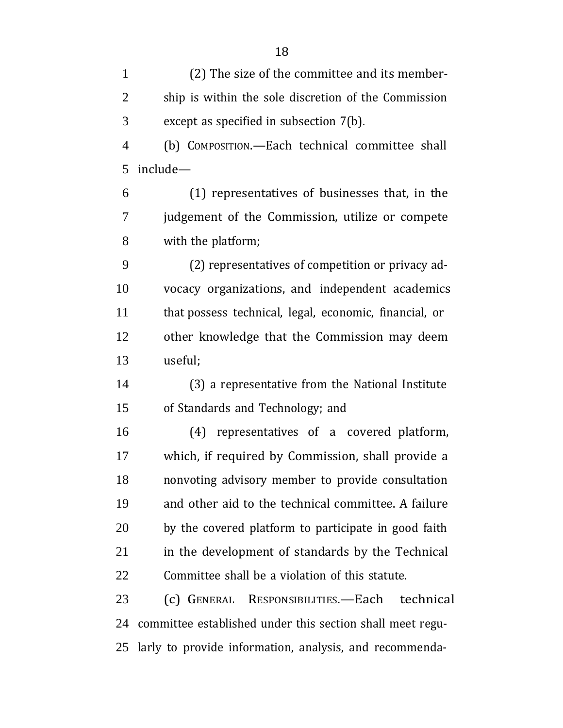(2) The size of the committee and its member- ship is within the sole discretion of the Commission except as specified in subsection 7(b).

 (b) COMPOSITION.—Each technical committee shall include—

 (1) representatives of businesses that, in the judgement of the Commission, utilize or compete with the platform;

 (2) representatives of competition or privacy ad- vocacy organizations, and independent academics that possess technical, legal, economic, financial, or other knowledge that the Commission may deem useful;

 (3) a representative from the National Institute of Standards and Technology; and

 (4) representatives of a covered platform, which, if required by Commission, shall provide a nonvoting advisory member to provide consultation and other aid to the technical committee. A failure by the covered platform to participate in good faith in the development of standards by the Technical Committee shall be a violation of this statute.

 (c) GENERAL RESPONSIBILITIES.—Each technical committee established under this section shall meet regu-larly to provide information, analysis, and recommenda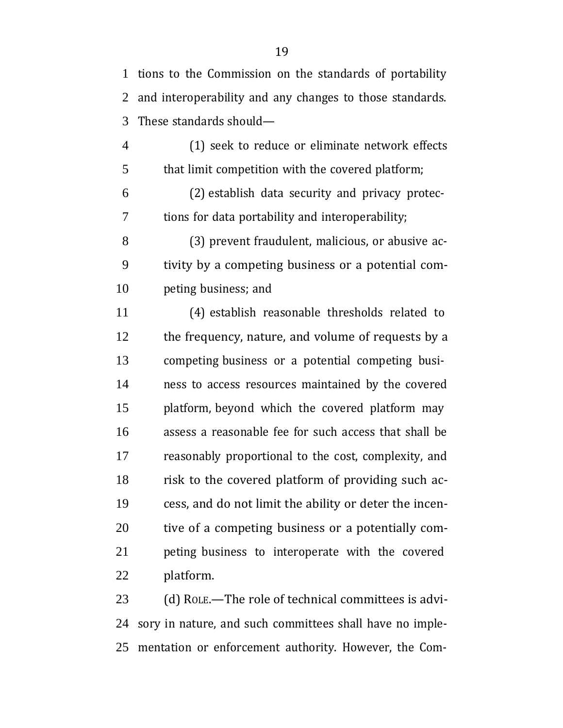tions to the Commission on the standards of portability and interoperability and any changes to those standards. These standards should—

 (1) seek to reduce or eliminate network effects that limit competition with the covered platform;

 (2) establish data security and privacy protec-tions for data portability and interoperability;

 (3) prevent fraudulent, malicious, or abusive ac- tivity by a competing business or a potential com-peting business; and

 (4) establish reasonable thresholds related to 12 the frequency, nature, and volume of requests by a competing business or a potential competing busi- ness to access resources maintained by the covered platform, beyond which the covered platform may assess a reasonable fee for such access that shall be reasonably proportional to the cost, complexity, and risk to the covered platform of providing such ac- cess, and do not limit the ability or deter the incen- tive of a competing business or a potentially com- peting business to interoperate with the covered platform.

 (d) ROLE.—The role of technical committees is advi- sory in nature, and such committees shall have no imple-mentation or enforcement authority. However, the Com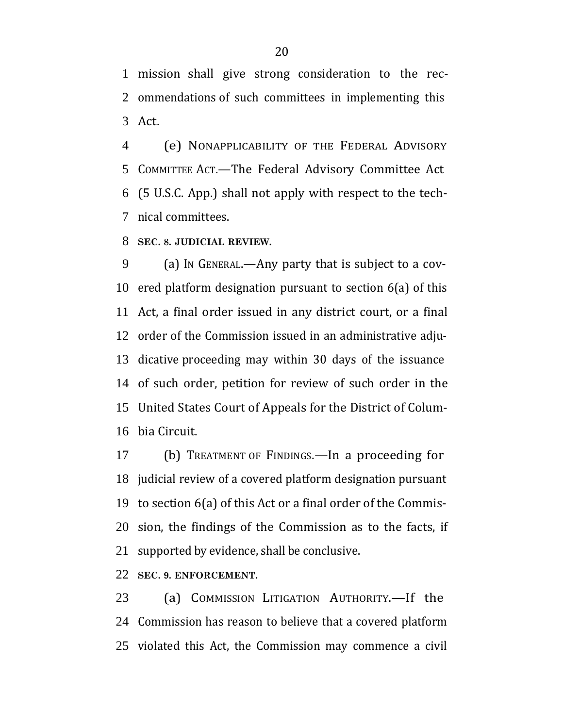mission shall give strong consideration to the rec- ommendations of such committees in implementing this Act.

 (e) NONAPPLICABILITY OF THE FEDERAL ADVISORY COMMITTEE ACT.—The Federal Advisory Committee Act (5 U.S.C. App.) shall not apply with respect to the tech-nical committees.

**SEC. 8. JUDICIAL REVIEW.**

 (a) IN GENERAL.—Any party that is subject to a cov- ered platform designation pursuant to section 6(a) of this Act, a final order issued in any district court, or a final order of the Commission issued in an administrative adju- dicative proceeding may within 30 days of the issuance of such order, petition for review of such order in the United States Court of Appeals for the District of Colum-bia Circuit.

 (b) TREATMENT OF FINDINGS.—In a proceeding for judicial review of a covered platform designation pursuant to section 6(a) of this Act or a final order of the Commis- sion, the findings of the Commission as to the facts, if supported by evidence, shall be conclusive.

**SEC. 9. ENFORCEMENT.**

 (a) COMMISSION LITIGATION AUTHORITY.—If the Commission has reason to believe that a covered platform violated this Act, the Commission may commence a civil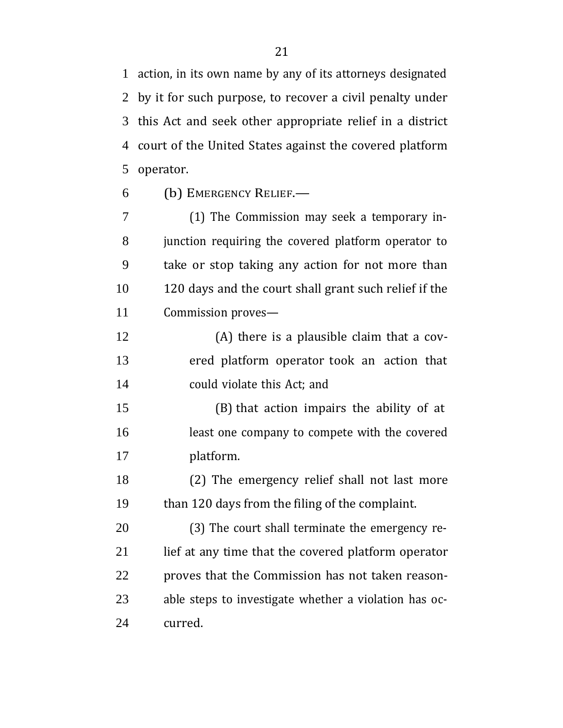action, in its own name by any of its attorneys designated by it for such purpose, to recover a civil penalty under this Act and seek other appropriate relief in a district court of the United States against the covered platform operator.

(b) EMERGENCY RELIEF.—

 (1) The Commission may seek a temporary in- junction requiring the covered platform operator to take or stop taking any action for not more than 120 days and the court shall grant such relief if the Commission proves—

 (A) there is a plausible claim that a cov- ered platform operator took an action that could violate this Act; and

 (B) that action impairs the ability of at least one company to compete with the covered platform.

 (2) The emergency relief shall not last more than 120 days from the filing of the complaint.

 (3) The court shall terminate the emergency re- lief at any time that the covered platform operator proves that the Commission has not taken reason- able steps to investigate whether a violation has oc-curred.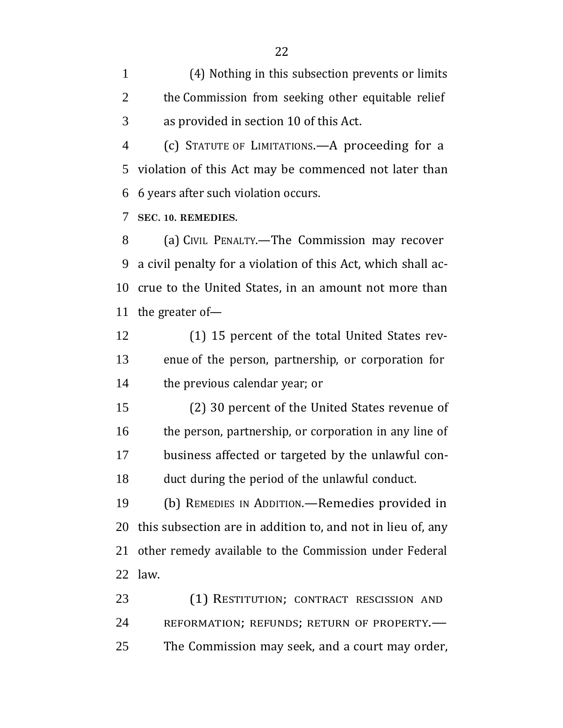(4) Nothing in this subsection prevents or limits 2 the Commission from seeking other equitable relief as provided in section 10 of this Act.

 (c) STATUTE OF LIMITATIONS.—A proceeding for a violation of this Act may be commenced not later than 6 years after such violation occurs.

**SEC. 10. REMEDIES.**

 (a) CIVIL PENALTY.—The Commission may recover a civil penalty for a violation of this Act, which shall ac- crue to the United States, in an amount not more than the greater of—

 (1) 15 percent of the total United States rev- enue of the person, partnership, or corporation for the previous calendar year; or

 (2) 30 percent of the United States revenue of 16 the person, partnership, or corporation in any line of business affected or targeted by the unlawful con-duct during the period of the unlawful conduct.

 (b) REMEDIES IN ADDITION.—Remedies provided in this subsection are in addition to, and not in lieu of, any other remedy available to the Commission under Federal law.

23 (1) RESTITUTION; CONTRACT RESCISSION AND 24 REFORMATION; REFUNDS; RETURN OF PROPERTY. The Commission may seek, and a court may order,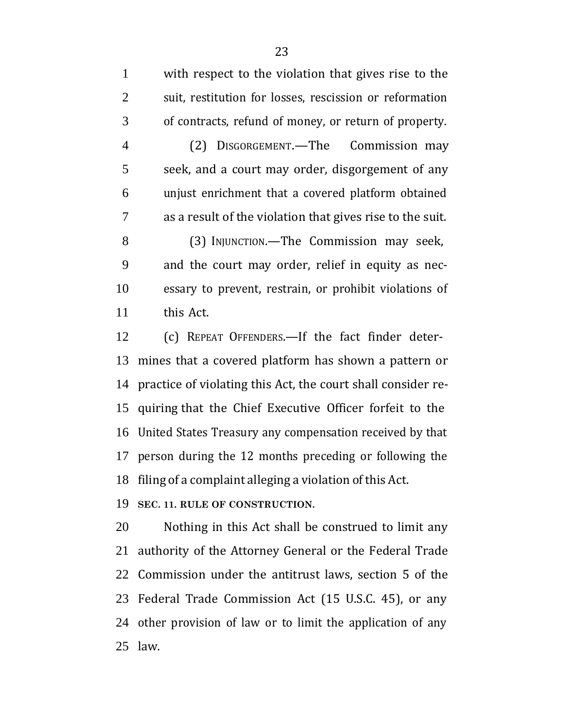with respect to the violation that gives rise to the suit, restitution for losses, rescission or reformation of contracts, refund of money, or return of property.

 (2) DISGORGEMENT.—The Commission may seek, and a court may order, disgorgement of any unjust enrichment that a covered platform obtained as a result of the violation that gives rise to the suit.

8 (3) INJUNCTION.—The Commission may seek, and the court may order, relief in equity as nec- essary to prevent, restrain, or prohibit violations of this Act.

 (c) REPEAT OFFENDERS.—If the fact finder deter- mines that a covered platform has shown a pattern or practice of violating this Act, the court shall consider re- quiring that the Chief Executive Officer forfeit to the United States Treasury any compensation received by that person during the 12 months preceding or following the filing of a complaint alleging a violation of this Act.

**SEC. 11. RULE OF CONSTRUCTION.**

 Nothing in this Act shall be construed to limit any authority of the Attorney General or the Federal Trade Commission under the antitrust laws, section 5 of the Federal Trade Commission Act (15 U.S.C. 45), or any other provision of law or to limit the application of any law.